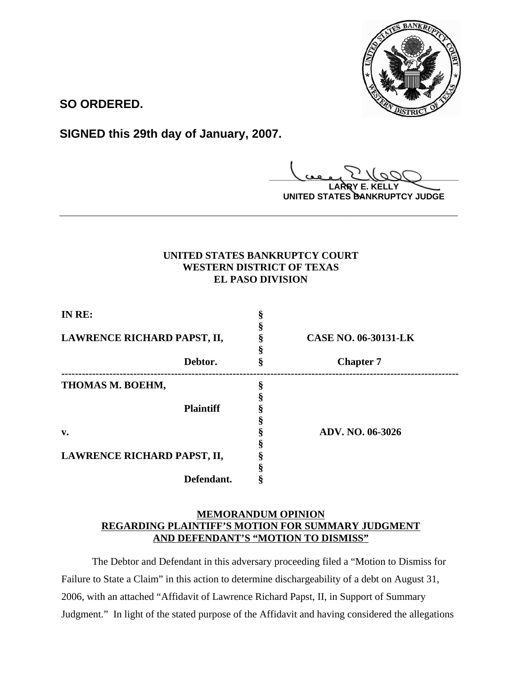

**SO ORDERED.**

**SIGNED this 29th day of January, 2007.**

**\_\_\_\_\_\_\_\_\_\_\_\_\_\_\_\_\_\_\_\_\_\_\_\_\_\_\_\_\_\_\_\_\_\_\_\_\_\_\_\_ LARRY E. KELLY**

**UNITED STATES BANKRUPTCY JUDGE**

# **UNITED STATES BANKRUPTCY COURT WESTERN DISTRICT OF TEXAS EL PASO DIVISION**

**\_\_\_\_\_\_\_\_\_\_\_\_\_\_\_\_\_\_\_\_\_\_\_\_\_\_\_\_\_\_\_\_\_\_\_\_\_\_\_\_\_\_\_\_\_\_\_\_\_\_\_\_\_\_\_\_\_\_\_\_**

| IN RE:                      |                             |
|-----------------------------|-----------------------------|
|                             |                             |
| LAWRENCE RICHARD PAPST, II, | <b>CASE NO. 06-30131-LK</b> |
|                             |                             |
| Debtor.                     | <b>Chapter 7</b>            |
| THOMAS M. BOEHM,            |                             |
|                             |                             |
| <b>Plaintiff</b>            |                             |
|                             |                             |
| v.                          | ADV. NO. 06-3026            |
|                             |                             |
| LAWRENCE RICHARD PAPST, II, |                             |
|                             |                             |
| Defendant.                  |                             |

# **MEMORANDUM OPINION REGARDING PLAINTIFF'S MOTION FOR SUMMARY JUDGMENT AND DEFENDANT'S "MOTION TO DISMISS"**

The Debtor and Defendant in this adversary proceeding filed a "Motion to Dismiss for Failure to State a Claim" in this action to determine dischargeability of a debt on August 31, 2006, with an attached "Affidavit of Lawrence Richard Papst, II, in Support of Summary Judgment." In light of the stated purpose of the Affidavit and having considered the allegations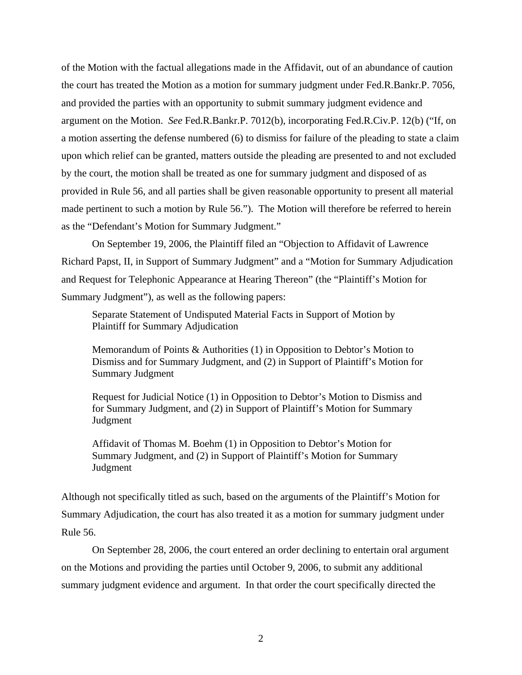of the Motion with the factual allegations made in the Affidavit, out of an abundance of caution the court has treated the Motion as a motion for summary judgment under Fed.R.Bankr.P. 7056, and provided the parties with an opportunity to submit summary judgment evidence and argument on the Motion. *See* Fed.R.Bankr.P. 7012(b), incorporating Fed.R.Civ.P. 12(b) ("If, on a motion asserting the defense numbered (6) to dismiss for failure of the pleading to state a claim upon which relief can be granted, matters outside the pleading are presented to and not excluded by the court, the motion shall be treated as one for summary judgment and disposed of as provided in Rule 56, and all parties shall be given reasonable opportunity to present all material made pertinent to such a motion by Rule 56."). The Motion will therefore be referred to herein as the "Defendant's Motion for Summary Judgment."

On September 19, 2006, the Plaintiff filed an "Objection to Affidavit of Lawrence Richard Papst, II, in Support of Summary Judgment" and a "Motion for Summary Adjudication and Request for Telephonic Appearance at Hearing Thereon" (the "Plaintiff's Motion for Summary Judgment"), as well as the following papers:

Separate Statement of Undisputed Material Facts in Support of Motion by Plaintiff for Summary Adjudication

Memorandum of Points & Authorities (1) in Opposition to Debtor's Motion to Dismiss and for Summary Judgment, and (2) in Support of Plaintiff's Motion for Summary Judgment

Request for Judicial Notice (1) in Opposition to Debtor's Motion to Dismiss and for Summary Judgment, and (2) in Support of Plaintiff's Motion for Summary Judgment

Affidavit of Thomas M. Boehm (1) in Opposition to Debtor's Motion for Summary Judgment, and (2) in Support of Plaintiff's Motion for Summary Judgment

Although not specifically titled as such, based on the arguments of the Plaintiff's Motion for Summary Adjudication, the court has also treated it as a motion for summary judgment under Rule 56.

 On September 28, 2006, the court entered an order declining to entertain oral argument on the Motions and providing the parties until October 9, 2006, to submit any additional summary judgment evidence and argument. In that order the court specifically directed the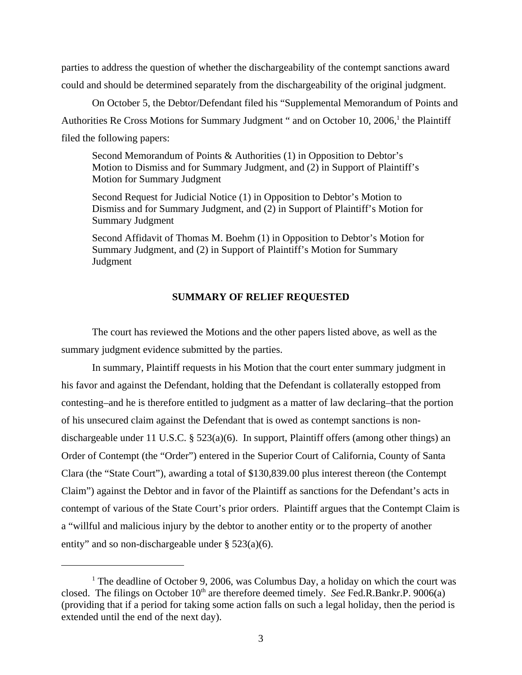parties to address the question of whether the dischargeability of the contempt sanctions award could and should be determined separately from the dischargeability of the original judgment.

On October 5, the Debtor/Defendant filed his "Supplemental Memorandum of Points and Authorities Re Cross Motions for Summary Judgment " and on October 10, 2006,<sup>1</sup> the Plaintiff filed the following papers:

Second Memorandum of Points & Authorities (1) in Opposition to Debtor's Motion to Dismiss and for Summary Judgment, and (2) in Support of Plaintiff's Motion for Summary Judgment

Second Request for Judicial Notice (1) in Opposition to Debtor's Motion to Dismiss and for Summary Judgment, and (2) in Support of Plaintiff's Motion for Summary Judgment

Second Affidavit of Thomas M. Boehm (1) in Opposition to Debtor's Motion for Summary Judgment, and (2) in Support of Plaintiff's Motion for Summary Judgment

### **SUMMARY OF RELIEF REQUESTED**

The court has reviewed the Motions and the other papers listed above, as well as the summary judgment evidence submitted by the parties.

In summary, Plaintiff requests in his Motion that the court enter summary judgment in his favor and against the Defendant, holding that the Defendant is collaterally estopped from contesting–and he is therefore entitled to judgment as a matter of law declaring–that the portion of his unsecured claim against the Defendant that is owed as contempt sanctions is nondischargeable under 11 U.S.C. §  $523(a)(6)$ . In support, Plaintiff offers (among other things) an Order of Contempt (the "Order") entered in the Superior Court of California, County of Santa Clara (the "State Court"), awarding a total of \$130,839.00 plus interest thereon (the Contempt Claim") against the Debtor and in favor of the Plaintiff as sanctions for the Defendant's acts in contempt of various of the State Court's prior orders. Plaintiff argues that the Contempt Claim is a "willful and malicious injury by the debtor to another entity or to the property of another entity" and so non-dischargeable under § 523(a)(6).

<sup>&</sup>lt;sup>1</sup> The deadline of October 9, 2006, was Columbus Day, a holiday on which the court was closed. The filings on October  $10<sup>th</sup>$  are therefore deemed timely. *See* Fed.R.Bankr.P. 9006(a) (providing that if a period for taking some action falls on such a legal holiday, then the period is extended until the end of the next day).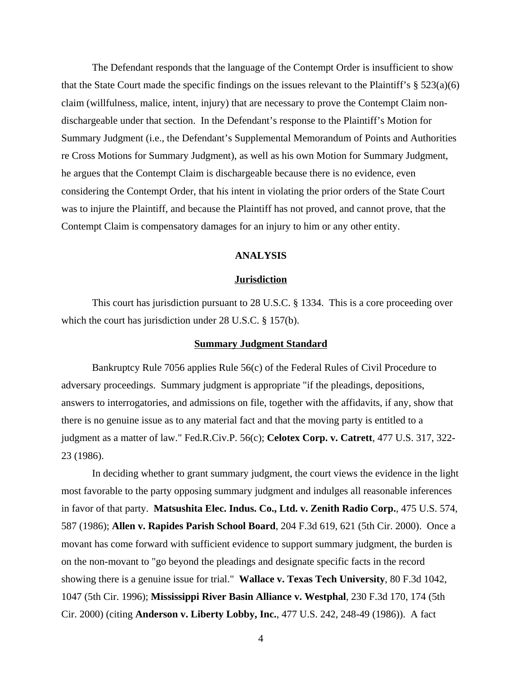The Defendant responds that the language of the Contempt Order is insufficient to show that the State Court made the specific findings on the issues relevant to the Plaintiff's  $\S 523(a)(6)$ claim (willfulness, malice, intent, injury) that are necessary to prove the Contempt Claim nondischargeable under that section. In the Defendant's response to the Plaintiff's Motion for Summary Judgment (i.e., the Defendant's Supplemental Memorandum of Points and Authorities re Cross Motions for Summary Judgment), as well as his own Motion for Summary Judgment, he argues that the Contempt Claim is dischargeable because there is no evidence, even considering the Contempt Order, that his intent in violating the prior orders of the State Court was to injure the Plaintiff, and because the Plaintiff has not proved, and cannot prove, that the Contempt Claim is compensatory damages for an injury to him or any other entity.

#### **ANALYSIS**

#### **Jurisdiction**

This court has jurisdiction pursuant to 28 U.S.C. § 1334. This is a core proceeding over which the court has jurisdiction under 28 U.S.C. § 157(b).

#### **Summary Judgment Standard**

Bankruptcy Rule 7056 applies Rule 56(c) of the Federal Rules of Civil Procedure to adversary proceedings. Summary judgment is appropriate "if the pleadings, depositions, answers to interrogatories, and admissions on file, together with the affidavits, if any, show that there is no genuine issue as to any material fact and that the moving party is entitled to a judgment as a matter of law." Fed.R.Civ.P. 56(c); **Celotex Corp. v. Catrett**, 477 U.S. 317, 322- 23 (1986).

In deciding whether to grant summary judgment, the court views the evidence in the light most favorable to the party opposing summary judgment and indulges all reasonable inferences in favor of that party. **Matsushita Elec. Indus. Co., Ltd. v. Zenith Radio Corp.**, 475 U.S. 574, 587 (1986); **Allen v. Rapides Parish School Board**, 204 F.3d 619, 621 (5th Cir. 2000). Once a movant has come forward with sufficient evidence to support summary judgment, the burden is on the non-movant to "go beyond the pleadings and designate specific facts in the record showing there is a genuine issue for trial." **Wallace v. Texas Tech University**, 80 F.3d 1042, 1047 (5th Cir. 1996); **Mississippi River Basin Alliance v. Westphal**, 230 F.3d 170, 174 (5th Cir. 2000) (citing **Anderson v. Liberty Lobby, Inc.**, 477 U.S. 242, 248-49 (1986)). A fact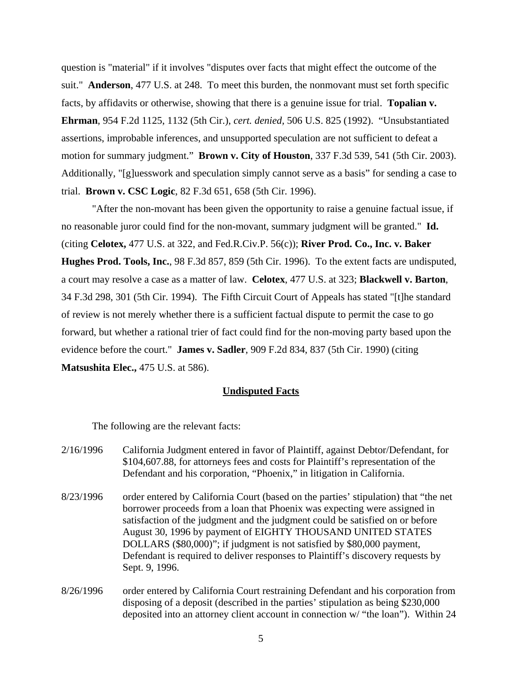question is "material" if it involves "disputes over facts that might effect the outcome of the suit." **Anderson**, 477 U.S. at 248. To meet this burden, the nonmovant must set forth specific facts, by affidavits or otherwise, showing that there is a genuine issue for trial. **Topalian v. Ehrman**, 954 F.2d 1125, 1132 (5th Cir.), *cert. denied,* 506 U.S. 825 (1992). "Unsubstantiated assertions, improbable inferences, and unsupported speculation are not sufficient to defeat a motion for summary judgment." **Brown v. City of Houston**, 337 F.3d 539, 541 (5th Cir. 2003). Additionally, "[g]uesswork and speculation simply cannot serve as a basis" for sending a case to trial. **Brown v. CSC Logic**, 82 F.3d 651, 658 (5th Cir. 1996).

"After the non-movant has been given the opportunity to raise a genuine factual issue, if no reasonable juror could find for the non-movant, summary judgment will be granted." **Id.** (citing **Celotex,** 477 U.S. at 322, and Fed.R.Civ.P. 56(c)); **River Prod. Co., Inc. v. Baker Hughes Prod. Tools, Inc.**, 98 F.3d 857, 859 (5th Cir. 1996). To the extent facts are undisputed, a court may resolve a case as a matter of law. **Celotex**, 477 U.S. at 323; **Blackwell v. Barton**, 34 F.3d 298, 301 (5th Cir. 1994). The Fifth Circuit Court of Appeals has stated "[t]he standard of review is not merely whether there is a sufficient factual dispute to permit the case to go forward, but whether a rational trier of fact could find for the non-moving party based upon the evidence before the court." **James v. Sadler**, 909 F.2d 834, 837 (5th Cir. 1990) (citing **Matsushita Elec.,** 475 U.S. at 586).

### **Undisputed Facts**

The following are the relevant facts:

- 2/16/1996 California Judgment entered in favor of Plaintiff, against Debtor/Defendant, for \$104,607.88, for attorneys fees and costs for Plaintiff's representation of the Defendant and his corporation, "Phoenix," in litigation in California.
- 8/23/1996 order entered by California Court (based on the parties' stipulation) that "the net borrower proceeds from a loan that Phoenix was expecting were assigned in satisfaction of the judgment and the judgment could be satisfied on or before August 30, 1996 by payment of EIGHTY THOUSAND UNITED STATES DOLLARS (\$80,000)"; if judgment is not satisfied by \$80,000 payment, Defendant is required to deliver responses to Plaintiff's discovery requests by Sept. 9, 1996.
- 8/26/1996 order entered by California Court restraining Defendant and his corporation from disposing of a deposit (described in the parties' stipulation as being \$230,000 deposited into an attorney client account in connection w/ "the loan"). Within 24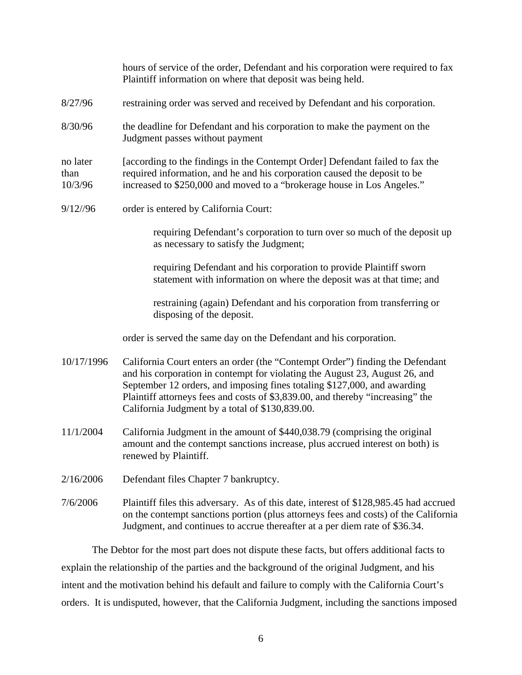|                             | hours of service of the order, Defendant and his corporation were required to fax<br>Plaintiff information on where that deposit was being held.                                                                                                                                                                                                                              |
|-----------------------------|-------------------------------------------------------------------------------------------------------------------------------------------------------------------------------------------------------------------------------------------------------------------------------------------------------------------------------------------------------------------------------|
| 8/27/96                     | restraining order was served and received by Defendant and his corporation.                                                                                                                                                                                                                                                                                                   |
| 8/30/96                     | the deadline for Defendant and his corporation to make the payment on the<br>Judgment passes without payment                                                                                                                                                                                                                                                                  |
| no later<br>than<br>10/3/96 | [according to the findings in the Contempt Order] Defendant failed to fax the<br>required information, and he and his corporation caused the deposit to be<br>increased to \$250,000 and moved to a "brokerage house in Los Angeles."                                                                                                                                         |
| $9/12$ //96                 | order is entered by California Court:                                                                                                                                                                                                                                                                                                                                         |
|                             | requiring Defendant's corporation to turn over so much of the deposit up<br>as necessary to satisfy the Judgment;                                                                                                                                                                                                                                                             |
|                             | requiring Defendant and his corporation to provide Plaintiff sworn<br>statement with information on where the deposit was at that time; and                                                                                                                                                                                                                                   |
|                             | restraining (again) Defendant and his corporation from transferring or<br>disposing of the deposit.                                                                                                                                                                                                                                                                           |
|                             | order is served the same day on the Defendant and his corporation.                                                                                                                                                                                                                                                                                                            |
| 10/17/1996                  | California Court enters an order (the "Contempt Order") finding the Defendant<br>and his corporation in contempt for violating the August 23, August 26, and<br>September 12 orders, and imposing fines totaling \$127,000, and awarding<br>Plaintiff attorneys fees and costs of \$3,839.00, and thereby "increasing" the<br>California Judgment by a total of \$130,839.00. |
| 11/1/2004                   | California Judgment in the amount of \$440,038.79 (comprising the original<br>amount and the contempt sanctions increase, plus accrued interest on both) is<br>renewed by Plaintiff.                                                                                                                                                                                          |
| 2/16/2006                   | Defendant files Chapter 7 bankruptcy.                                                                                                                                                                                                                                                                                                                                         |
| 7/6/2006                    | Plaintiff files this adversary. As of this date, interest of \$128,985.45 had accrued<br>on the contempt sanctions portion (plus attorneys fees and costs) of the California<br>Judgment, and continues to accrue thereafter at a per diem rate of \$36.34.                                                                                                                   |

The Debtor for the most part does not dispute these facts, but offers additional facts to explain the relationship of the parties and the background of the original Judgment, and his intent and the motivation behind his default and failure to comply with the California Court's orders. It is undisputed, however, that the California Judgment, including the sanctions imposed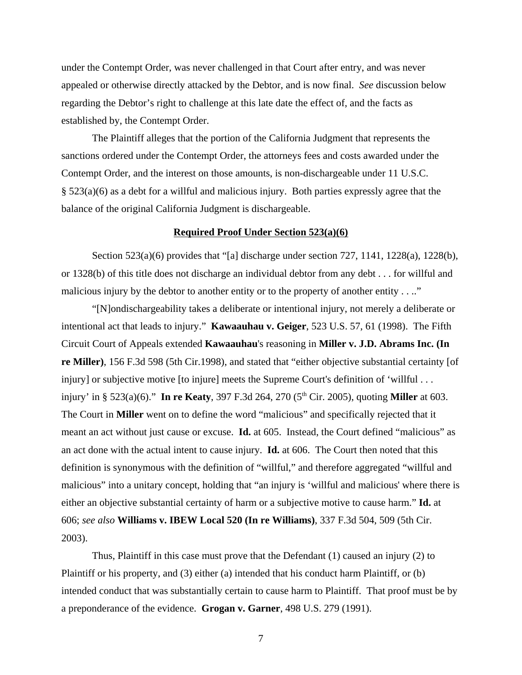under the Contempt Order, was never challenged in that Court after entry, and was never appealed or otherwise directly attacked by the Debtor, and is now final. *See* discussion below regarding the Debtor's right to challenge at this late date the effect of, and the facts as established by, the Contempt Order.

The Plaintiff alleges that the portion of the California Judgment that represents the sanctions ordered under the Contempt Order, the attorneys fees and costs awarded under the Contempt Order, and the interest on those amounts, is non-dischargeable under 11 U.S.C. § 523(a)(6) as a debt for a willful and malicious injury. Both parties expressly agree that the balance of the original California Judgment is dischargeable.

#### **Required Proof Under Section 523(a)(6)**

Section 523(a)(6) provides that "[a] discharge under section 727, 1141, 1228(a), 1228(b), or 1328(b) of this title does not discharge an individual debtor from any debt . . . for willful and malicious injury by the debtor to another entity or to the property of another entity  $\dots$ ."

"[N]ondischargeability takes a deliberate or intentional injury, not merely a deliberate or intentional act that leads to injury." **Kawaauhau v. Geiger**, 523 U.S. 57, 61 (1998). The Fifth Circuit Court of Appeals extended **Kawaauhau**'s reasoning in **Miller v. J.D. Abrams Inc. (In re Miller)**, 156 F.3d 598 (5th Cir.1998), and stated that "either objective substantial certainty [of injury] or subjective motive [to injure] meets the Supreme Court's definition of 'willful . . . injury' in § 523(a)(6)." **In re Keaty**, 397 F.3d 264, 270 (5<sup>th</sup> Cir. 2005), quoting **Miller** at 603. The Court in **Miller** went on to define the word "malicious" and specifically rejected that it meant an act without just cause or excuse. **Id.** at 605. Instead, the Court defined "malicious" as an act done with the actual intent to cause injury. **Id.** at 606. The Court then noted that this definition is synonymous with the definition of "willful," and therefore aggregated "willful and malicious" into a unitary concept, holding that "an injury is 'willful and malicious' where there is either an objective substantial certainty of harm or a subjective motive to cause harm." **Id.** at 606; *see also* **Williams v. IBEW Local 520 (In re Williams)**, 337 F.3d 504, 509 (5th Cir. 2003).

Thus, Plaintiff in this case must prove that the Defendant (1) caused an injury (2) to Plaintiff or his property, and (3) either (a) intended that his conduct harm Plaintiff, or (b) intended conduct that was substantially certain to cause harm to Plaintiff. That proof must be by a preponderance of the evidence. **Grogan v. Garner**, 498 U.S. 279 (1991).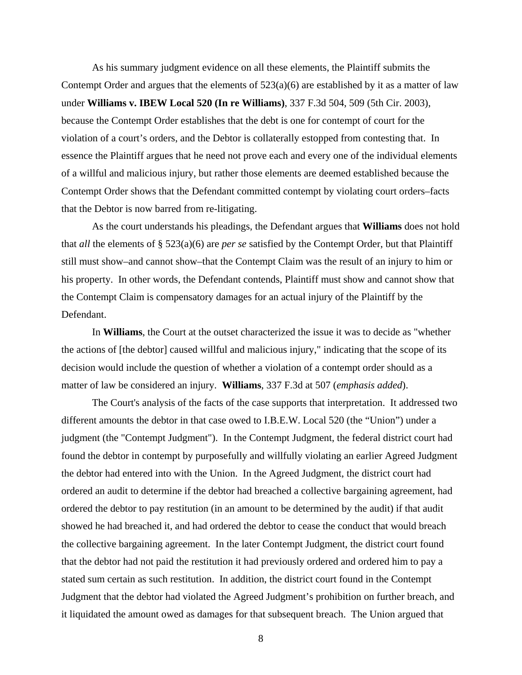As his summary judgment evidence on all these elements, the Plaintiff submits the Contempt Order and argues that the elements of  $523(a)(6)$  are established by it as a matter of law under **Williams v. IBEW Local 520 (In re Williams)**, 337 F.3d 504, 509 (5th Cir. 2003), because the Contempt Order establishes that the debt is one for contempt of court for the violation of a court's orders, and the Debtor is collaterally estopped from contesting that. In essence the Plaintiff argues that he need not prove each and every one of the individual elements of a willful and malicious injury, but rather those elements are deemed established because the Contempt Order shows that the Defendant committed contempt by violating court orders–facts that the Debtor is now barred from re-litigating.

As the court understands his pleadings, the Defendant argues that **Williams** does not hold that *all* the elements of § 523(a)(6) are *per se* satisfied by the Contempt Order, but that Plaintiff still must show–and cannot show–that the Contempt Claim was the result of an injury to him or his property. In other words, the Defendant contends, Plaintiff must show and cannot show that the Contempt Claim is compensatory damages for an actual injury of the Plaintiff by the Defendant.

In **Williams**, the Court at the outset characterized the issue it was to decide as "whether the actions of [the debtor] caused willful and malicious injury," indicating that the scope of its decision would include the question of whether a violation of a contempt order should as a matter of law be considered an injury. **Williams**, 337 F.3d at 507 (*emphasis added*).

The Court's analysis of the facts of the case supports that interpretation. It addressed two different amounts the debtor in that case owed to I.B.E.W. Local 520 (the "Union") under a judgment (the "Contempt Judgment"). In the Contempt Judgment, the federal district court had found the debtor in contempt by purposefully and willfully violating an earlier Agreed Judgment the debtor had entered into with the Union. In the Agreed Judgment, the district court had ordered an audit to determine if the debtor had breached a collective bargaining agreement, had ordered the debtor to pay restitution (in an amount to be determined by the audit) if that audit showed he had breached it, and had ordered the debtor to cease the conduct that would breach the collective bargaining agreement. In the later Contempt Judgment, the district court found that the debtor had not paid the restitution it had previously ordered and ordered him to pay a stated sum certain as such restitution. In addition, the district court found in the Contempt Judgment that the debtor had violated the Agreed Judgment's prohibition on further breach, and it liquidated the amount owed as damages for that subsequent breach. The Union argued that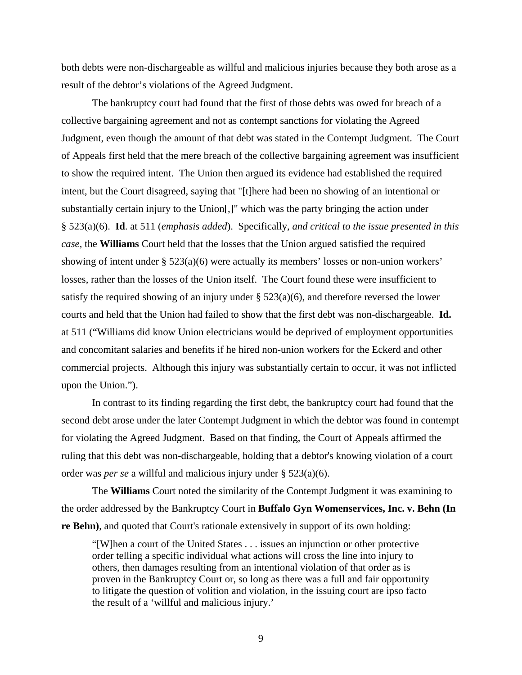both debts were non-dischargeable as willful and malicious injuries because they both arose as a result of the debtor's violations of the Agreed Judgment.

The bankruptcy court had found that the first of those debts was owed for breach of a collective bargaining agreement and not as contempt sanctions for violating the Agreed Judgment, even though the amount of that debt was stated in the Contempt Judgment. The Court of Appeals first held that the mere breach of the collective bargaining agreement was insufficient to show the required intent. The Union then argued its evidence had established the required intent, but the Court disagreed, saying that "[t]here had been no showing of an intentional or substantially certain injury to the Union[,]" which was the party bringing the action under § 523(a)(6). **Id**. at 511 (*emphasis added*). Specifically, *and critical to the issue presented in this case,* the **Williams** Court held that the losses that the Union argued satisfied the required showing of intent under § 523(a)(6) were actually its members' losses or non-union workers' losses, rather than the losses of the Union itself. The Court found these were insufficient to satisfy the required showing of an injury under  $\S$  523(a)(6), and therefore reversed the lower courts and held that the Union had failed to show that the first debt was non-dischargeable. **Id.** at 511 ("Williams did know Union electricians would be deprived of employment opportunities and concomitant salaries and benefits if he hired non-union workers for the Eckerd and other commercial projects. Although this injury was substantially certain to occur, it was not inflicted upon the Union.").

In contrast to its finding regarding the first debt, the bankruptcy court had found that the second debt arose under the later Contempt Judgment in which the debtor was found in contempt for violating the Agreed Judgment. Based on that finding, the Court of Appeals affirmed the ruling that this debt was non-dischargeable, holding that a debtor's knowing violation of a court order was *per se* a willful and malicious injury under § 523(a)(6).

The **Williams** Court noted the similarity of the Contempt Judgment it was examining to the order addressed by the Bankruptcy Court in **Buffalo Gyn Womenservices, Inc. v. Behn (In re Behn**), and quoted that Court's rationale extensively in support of its own holding:

"[W]hen a court of the United States . . . issues an injunction or other protective order telling a specific individual what actions will cross the line into injury to others, then damages resulting from an intentional violation of that order as is proven in the Bankruptcy Court or, so long as there was a full and fair opportunity to litigate the question of volition and violation, in the issuing court are ipso facto the result of a 'willful and malicious injury.'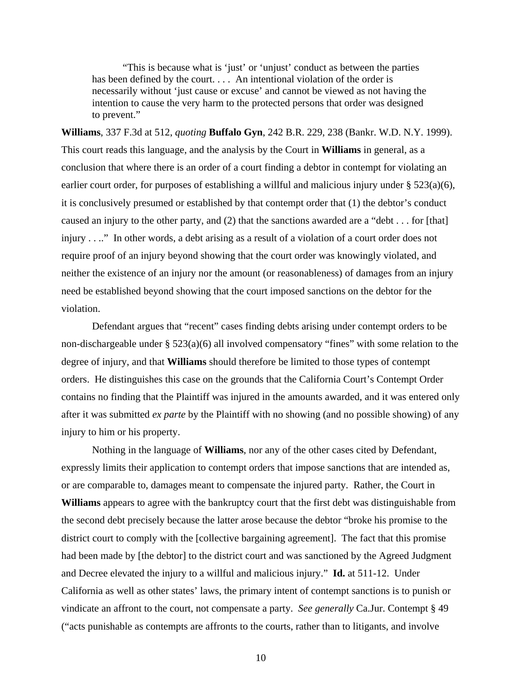"This is because what is 'just' or 'unjust' conduct as between the parties has been defined by the court. . . . An intentional violation of the order is necessarily without 'just cause or excuse' and cannot be viewed as not having the intention to cause the very harm to the protected persons that order was designed to prevent."

**Williams**, 337 F.3d at 512, *quoting* **Buffalo Gyn**, 242 B.R. 229, 238 (Bankr. W.D. N.Y. 1999). This court reads this language, and the analysis by the Court in **Williams** in general, as a conclusion that where there is an order of a court finding a debtor in contempt for violating an earlier court order, for purposes of establishing a willful and malicious injury under § 523(a)(6), it is conclusively presumed or established by that contempt order that (1) the debtor's conduct caused an injury to the other party, and (2) that the sanctions awarded are a "debt . . . for [that] injury . . .." In other words, a debt arising as a result of a violation of a court order does not require proof of an injury beyond showing that the court order was knowingly violated, and neither the existence of an injury nor the amount (or reasonableness) of damages from an injury need be established beyond showing that the court imposed sanctions on the debtor for the violation.

Defendant argues that "recent" cases finding debts arising under contempt orders to be non-dischargeable under § 523(a)(6) all involved compensatory "fines" with some relation to the degree of injury, and that **Williams** should therefore be limited to those types of contempt orders. He distinguishes this case on the grounds that the California Court's Contempt Order contains no finding that the Plaintiff was injured in the amounts awarded, and it was entered only after it was submitted *ex parte* by the Plaintiff with no showing (and no possible showing) of any injury to him or his property.

Nothing in the language of **Williams**, nor any of the other cases cited by Defendant, expressly limits their application to contempt orders that impose sanctions that are intended as, or are comparable to, damages meant to compensate the injured party. Rather, the Court in **Williams** appears to agree with the bankruptcy court that the first debt was distinguishable from the second debt precisely because the latter arose because the debtor "broke his promise to the district court to comply with the [collective bargaining agreement]. The fact that this promise had been made by [the debtor] to the district court and was sanctioned by the Agreed Judgment and Decree elevated the injury to a willful and malicious injury." **Id.** at 511-12. Under California as well as other states' laws, the primary intent of contempt sanctions is to punish or vindicate an affront to the court, not compensate a party. *See generally* Ca.Jur. Contempt § 49 ("acts punishable as contempts are affronts to the courts, rather than to litigants, and involve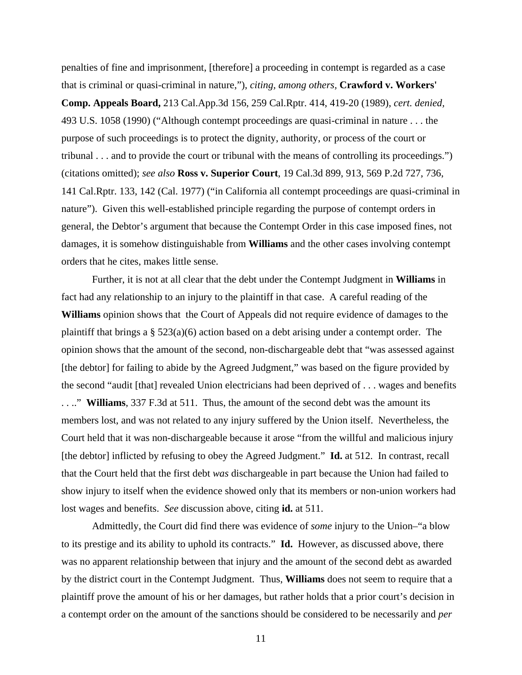penalties of fine and imprisonment, [therefore] a proceeding in contempt is regarded as a case that is criminal or quasi-criminal in nature,"), *citing, among others,* **Crawford v. Workers' Comp. Appeals Board,** 213 Cal.App.3d 156, 259 Cal.Rptr. 414, 419-20 (1989), *cert. denied,* 493 U.S. 1058 (1990) ("Although contempt proceedings are quasi-criminal in nature . . . the purpose of such proceedings is to protect the dignity, authority, or process of the court or tribunal . . . and to provide the court or tribunal with the means of controlling its proceedings.") (citations omitted); *see also* **Ross v. Superior Court**, 19 Cal.3d 899, 913, 569 P.2d 727, 736, 141 Cal.Rptr. 133, 142 (Cal. 1977) ("in California all contempt proceedings are quasi-criminal in nature"). Given this well-established principle regarding the purpose of contempt orders in general, the Debtor's argument that because the Contempt Order in this case imposed fines, not damages, it is somehow distinguishable from **Williams** and the other cases involving contempt orders that he cites, makes little sense.

Further, it is not at all clear that the debt under the Contempt Judgment in **Williams** in fact had any relationship to an injury to the plaintiff in that case. A careful reading of the **Williams** opinion shows that the Court of Appeals did not require evidence of damages to the plaintiff that brings a § 523(a)(6) action based on a debt arising under a contempt order. The opinion shows that the amount of the second, non-dischargeable debt that "was assessed against [the debtor] for failing to abide by the Agreed Judgment," was based on the figure provided by the second "audit [that] revealed Union electricians had been deprived of . . . wages and benefits . . .." **Williams**, 337 F.3d at 511. Thus, the amount of the second debt was the amount its members lost, and was not related to any injury suffered by the Union itself. Nevertheless, the Court held that it was non-dischargeable because it arose "from the willful and malicious injury [the debtor] inflicted by refusing to obey the Agreed Judgment." **Id.** at 512. In contrast, recall that the Court held that the first debt *was* dischargeable in part because the Union had failed to show injury to itself when the evidence showed only that its members or non-union workers had lost wages and benefits. *See* discussion above, citing **id.** at 511.

Admittedly, the Court did find there was evidence of *some* injury to the Union–"a blow to its prestige and its ability to uphold its contracts." **Id.** However, as discussed above, there was no apparent relationship between that injury and the amount of the second debt as awarded by the district court in the Contempt Judgment. Thus, **Williams** does not seem to require that a plaintiff prove the amount of his or her damages, but rather holds that a prior court's decision in a contempt order on the amount of the sanctions should be considered to be necessarily and *per*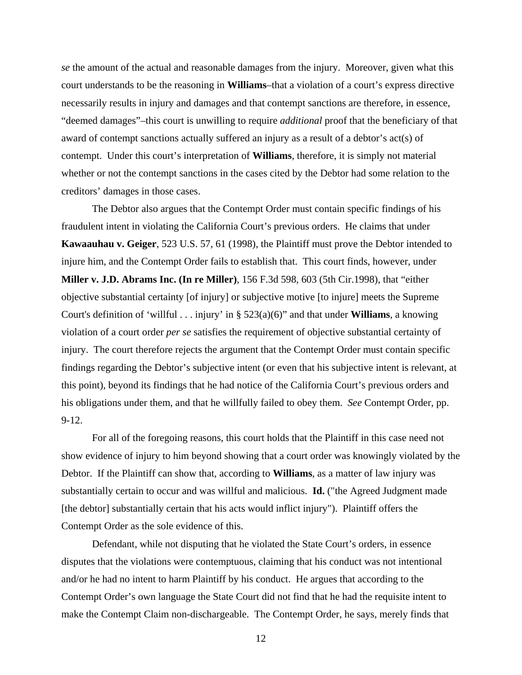*se* the amount of the actual and reasonable damages from the injury. Moreover, given what this court understands to be the reasoning in **Williams**–that a violation of a court's express directive necessarily results in injury and damages and that contempt sanctions are therefore, in essence, "deemed damages"–this court is unwilling to require *additional* proof that the beneficiary of that award of contempt sanctions actually suffered an injury as a result of a debtor's act(s) of contempt. Under this court's interpretation of **Williams**, therefore, it is simply not material whether or not the contempt sanctions in the cases cited by the Debtor had some relation to the creditors' damages in those cases.

The Debtor also argues that the Contempt Order must contain specific findings of his fraudulent intent in violating the California Court's previous orders. He claims that under **Kawaauhau v. Geiger**, 523 U.S. 57, 61 (1998), the Plaintiff must prove the Debtor intended to injure him, and the Contempt Order fails to establish that. This court finds, however, under **Miller v. J.D. Abrams Inc. (In re Miller)**, 156 F.3d 598, 603 (5th Cir.1998), that "either objective substantial certainty [of injury] or subjective motive [to injure] meets the Supreme Court's definition of 'willful . . . injury' in § 523(a)(6)" and that under **Williams**, a knowing violation of a court order *per se* satisfies the requirement of objective substantial certainty of injury. The court therefore rejects the argument that the Contempt Order must contain specific findings regarding the Debtor's subjective intent (or even that his subjective intent is relevant, at this point), beyond its findings that he had notice of the California Court's previous orders and his obligations under them, and that he willfully failed to obey them. *See* Contempt Order, pp. 9-12.

For all of the foregoing reasons, this court holds that the Plaintiff in this case need not show evidence of injury to him beyond showing that a court order was knowingly violated by the Debtor. If the Plaintiff can show that, according to **Williams**, as a matter of law injury was substantially certain to occur and was willful and malicious. **Id.** ("the Agreed Judgment made [the debtor] substantially certain that his acts would inflict injury"). Plaintiff offers the Contempt Order as the sole evidence of this.

Defendant, while not disputing that he violated the State Court's orders, in essence disputes that the violations were contemptuous, claiming that his conduct was not intentional and/or he had no intent to harm Plaintiff by his conduct. He argues that according to the Contempt Order's own language the State Court did not find that he had the requisite intent to make the Contempt Claim non-dischargeable. The Contempt Order, he says, merely finds that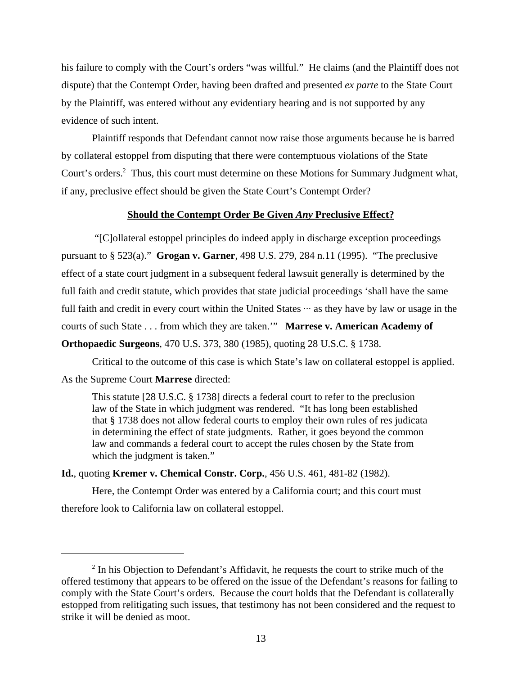his failure to comply with the Court's orders "was willful." He claims (and the Plaintiff does not dispute) that the Contempt Order, having been drafted and presented *ex parte* to the State Court by the Plaintiff, was entered without any evidentiary hearing and is not supported by any evidence of such intent.

Plaintiff responds that Defendant cannot now raise those arguments because he is barred by collateral estoppel from disputing that there were contemptuous violations of the State Court's orders.<sup>2</sup> Thus, this court must determine on these Motions for Summary Judgment what, if any, preclusive effect should be given the State Court's Contempt Order?

### **Should the Contempt Order Be Given** *Any* **Preclusive Effect?**

 "[C]ollateral estoppel principles do indeed apply in discharge exception proceedings pursuant to § 523(a)." **Grogan v. Garner**, 498 U.S. 279, 284 n.11 (1995). "The preclusive effect of a state court judgment in a subsequent federal lawsuit generally is determined by the full faith and credit statute, which provides that state judicial proceedings 'shall have the same full faith and credit in every court within the United States  $\cdots$  as they have by law or usage in the courts of such State . . . from which they are taken.'" **Marrese v. American Academy of Orthopaedic Surgeons**, 470 U.S. 373, 380 (1985), quoting 28 U.S.C. § 1738.

Critical to the outcome of this case is which State's law on collateral estoppel is applied. As the Supreme Court **Marrese** directed:

This statute [28 U.S.C. § 1738] directs a federal court to refer to the preclusion law of the State in which judgment was rendered. "It has long been established that § 1738 does not allow federal courts to employ their own rules of res judicata in determining the effect of state judgments. Rather, it goes beyond the common law and commands a federal court to accept the rules chosen by the State from which the judgment is taken."

**Id.**, quoting **Kremer v. Chemical Constr. Corp.**, 456 U.S. 461, 481-82 (1982).

Here, the Contempt Order was entered by a California court; and this court must therefore look to California law on collateral estoppel.

 $2$  In his Objection to Defendant's Affidavit, he requests the court to strike much of the offered testimony that appears to be offered on the issue of the Defendant's reasons for failing to comply with the State Court's orders. Because the court holds that the Defendant is collaterally estopped from relitigating such issues, that testimony has not been considered and the request to strike it will be denied as moot.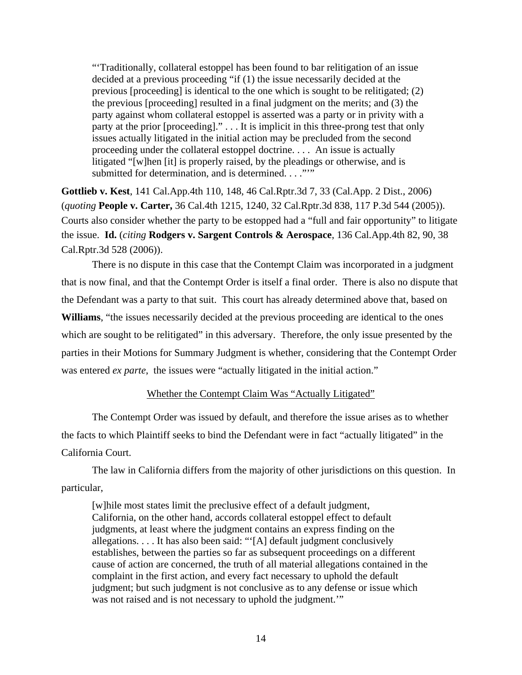"'Traditionally, collateral estoppel has been found to bar relitigation of an issue decided at a previous proceeding "if (1) the issue necessarily decided at the previous [proceeding] is identical to the one which is sought to be relitigated; (2) the previous [proceeding] resulted in a final judgment on the merits; and (3) the party against whom collateral estoppel is asserted was a party or in privity with a party at the prior [proceeding]." . . . It is implicit in this three-prong test that only issues actually litigated in the initial action may be precluded from the second proceeding under the collateral estoppel doctrine. . . . An issue is actually litigated "[w]hen [it] is properly raised, by the pleadings or otherwise, and is submitted for determination, and is determined. . . ."""

**Gottlieb v. Kest**, 141 Cal.App.4th 110, 148, 46 Cal.Rptr.3d 7, 33 (Cal.App. 2 Dist., 2006) (*quoting* **People v. Carter,** 36 Cal.4th 1215, 1240, 32 Cal.Rptr.3d 838, 117 P.3d 544 (2005)). Courts also consider whether the party to be estopped had a "full and fair opportunity" to litigate the issue. **Id.** (*citing* **Rodgers v. Sargent Controls & Aerospace**, 136 Cal.App.4th 82, 90, 38 Cal.Rptr.3d 528 (2006)).

There is no dispute in this case that the Contempt Claim was incorporated in a judgment that is now final, and that the Contempt Order is itself a final order. There is also no dispute that the Defendant was a party to that suit. This court has already determined above that, based on **Williams**, "the issues necessarily decided at the previous proceeding are identical to the ones which are sought to be relitigated" in this adversary. Therefore, the only issue presented by the parties in their Motions for Summary Judgment is whether, considering that the Contempt Order was entered *ex parte*, the issues were "actually litigated in the initial action."

## Whether the Contempt Claim Was "Actually Litigated"

The Contempt Order was issued by default, and therefore the issue arises as to whether the facts to which Plaintiff seeks to bind the Defendant were in fact "actually litigated" in the California Court.

The law in California differs from the majority of other jurisdictions on this question. In particular,

[w]hile most states limit the preclusive effect of a default judgment, California, on the other hand, accords collateral estoppel effect to default judgments, at least where the judgment contains an express finding on the allegations. . . . It has also been said: "'[A] default judgment conclusively establishes, between the parties so far as subsequent proceedings on a different cause of action are concerned, the truth of all material allegations contained in the complaint in the first action, and every fact necessary to uphold the default judgment; but such judgment is not conclusive as to any defense or issue which was not raised and is not necessary to uphold the judgment."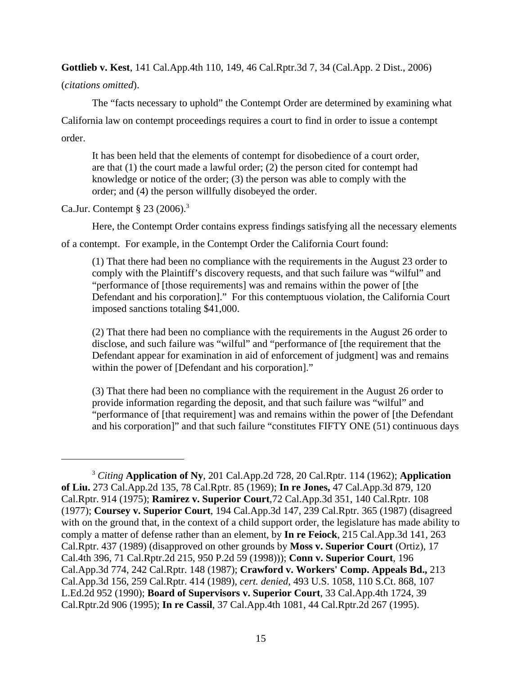**Gottlieb v. Kest**, 141 Cal.App.4th 110, 149, 46 Cal.Rptr.3d 7, 34 (Cal.App. 2 Dist., 2006)

(*citations omitted*).

The "facts necessary to uphold" the Contempt Order are determined by examining what

California law on contempt proceedings requires a court to find in order to issue a contempt order.

It has been held that the elements of contempt for disobedience of a court order, are that (1) the court made a lawful order; (2) the person cited for contempt had knowledge or notice of the order; (3) the person was able to comply with the order; and (4) the person willfully disobeyed the order.

Ca.Jur. Contempt § 23 (2006).3

Here, the Contempt Order contains express findings satisfying all the necessary elements

of a contempt. For example, in the Contempt Order the California Court found:

(1) That there had been no compliance with the requirements in the August 23 order to comply with the Plaintiff's discovery requests, and that such failure was "wilful" and "performance of [those requirements] was and remains within the power of [the Defendant and his corporation]." For this contemptuous violation, the California Court imposed sanctions totaling \$41,000.

(2) That there had been no compliance with the requirements in the August 26 order to disclose, and such failure was "wilful" and "performance of [the requirement that the Defendant appear for examination in aid of enforcement of judgment] was and remains within the power of [Defendant and his corporation]."

(3) That there had been no compliance with the requirement in the August 26 order to provide information regarding the deposit, and that such failure was "wilful" and "performance of [that requirement] was and remains within the power of [the Defendant and his corporation]" and that such failure "constitutes FIFTY ONE (51) continuous days

<sup>3</sup> *Citing* **Application of Ny**, 201 Cal.App.2d 728, 20 Cal.Rptr. 114 (1962); **Application of Liu.** 273 Cal.App.2d 135, 78 Cal.Rptr. 85 (1969); **In re Jones,** 47 Cal.App.3d 879, 120 Cal.Rptr. 914 (1975); **Ramirez v. Superior Court**,72 Cal.App.3d 351, 140 Cal.Rptr. 108 (1977); **Coursey v. Superior Court**, 194 Cal.App.3d 147, 239 Cal.Rptr. 365 (1987) (disagreed with on the ground that, in the context of a child support order, the legislature has made ability to comply a matter of defense rather than an element, by **In re Feiock**, 215 Cal.App.3d 141, 263 Cal.Rptr. 437 (1989) (disapproved on other grounds by **Moss v. Superior Court** (Ortiz), 17 Cal.4th 396, 71 Cal.Rptr.2d 215, 950 P.2d 59 (1998))); **Conn v. Superior Court**, 196 Cal.App.3d 774, 242 Cal.Rptr. 148 (1987); **Crawford v. Workers' Comp. Appeals Bd.,** 213 Cal.App.3d 156, 259 Cal.Rptr. 414 (1989), *cert. denied*, 493 U.S. 1058, 110 S.Ct. 868, 107 L.Ed.2d 952 (1990); **Board of Supervisors v. Superior Court**, 33 Cal.App.4th 1724, 39 Cal.Rptr.2d 906 (1995); **In re Cassil**, 37 Cal.App.4th 1081, 44 Cal.Rptr.2d 267 (1995).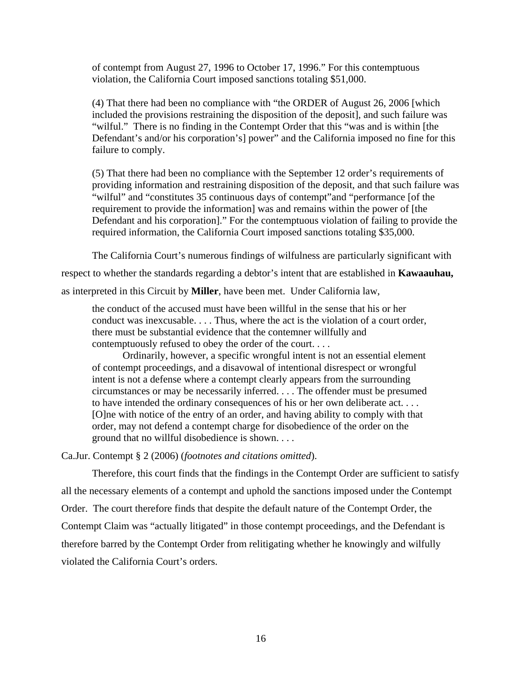of contempt from August 27, 1996 to October 17, 1996." For this contemptuous violation, the California Court imposed sanctions totaling \$51,000.

(4) That there had been no compliance with "the ORDER of August 26, 2006 [which included the provisions restraining the disposition of the deposit], and such failure was "wilful." There is no finding in the Contempt Order that this "was and is within [the Defendant's and/or his corporation's] power" and the California imposed no fine for this failure to comply.

(5) That there had been no compliance with the September 12 order's requirements of providing information and restraining disposition of the deposit, and that such failure was "wilful" and "constitutes 35 continuous days of contempt"and "performance [of the requirement to provide the information] was and remains within the power of [the Defendant and his corporation]." For the contemptuous violation of failing to provide the required information, the California Court imposed sanctions totaling \$35,000.

The California Court's numerous findings of wilfulness are particularly significant with

respect to whether the standards regarding a debtor's intent that are established in **Kawaauhau,**

as interpreted in this Circuit by **Miller**, have been met. Under California law,

the conduct of the accused must have been willful in the sense that his or her conduct was inexcusable. . . . Thus, where the act is the violation of a court order, there must be substantial evidence that the contemner willfully and contemptuously refused to obey the order of the court. . . .

Ordinarily, however, a specific wrongful intent is not an essential element of contempt proceedings, and a disavowal of intentional disrespect or wrongful intent is not a defense where a contempt clearly appears from the surrounding circumstances or may be necessarily inferred. . . . The offender must be presumed to have intended the ordinary consequences of his or her own deliberate act. . . . [O]ne with notice of the entry of an order, and having ability to comply with that order, may not defend a contempt charge for disobedience of the order on the ground that no willful disobedience is shown. . . .

Ca.Jur. Contempt § 2 (2006) (*footnotes and citations omitted*).

Therefore, this court finds that the findings in the Contempt Order are sufficient to satisfy all the necessary elements of a contempt and uphold the sanctions imposed under the Contempt Order. The court therefore finds that despite the default nature of the Contempt Order, the Contempt Claim was "actually litigated" in those contempt proceedings, and the Defendant is therefore barred by the Contempt Order from relitigating whether he knowingly and wilfully violated the California Court's orders.